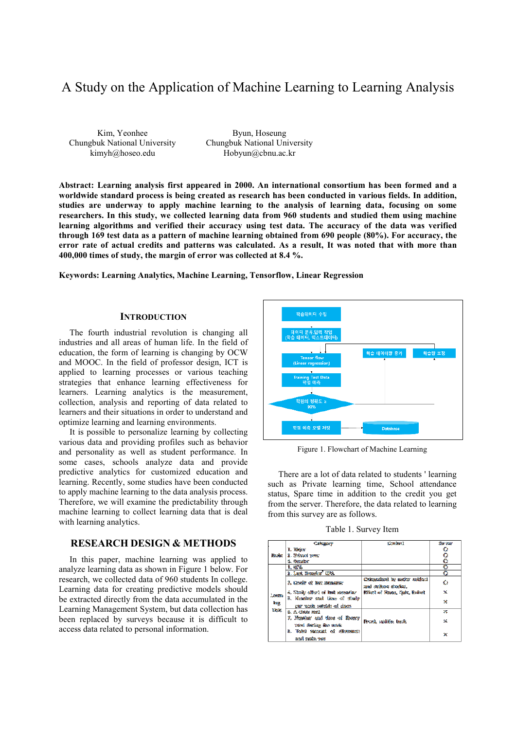# A Study on the Application of Machine Learning to Learning Analysis

Kim, Yeonhee Chungbuk National University kimyh@hoseo.edu

Byun, Hoseung Chungbuk National University Hobyun@cbnu.ac.kr

**Abstract: Learning analysis first appeared in 2000. An international consortium has been formed and a worldwide standard process is being created as research has been conducted in various fields. In addition, studies are underway to apply machine learning to the analysis of learning data, focusing on some researchers. In this study, we collected learning data from 960 students and studied them using machine learning algorithms and verified their accuracy using test data. The accuracy of the data was verified through 169 test data as a pattern of machine learning obtained from 690 people (80%). For accuracy, the error rate of actual credits and patterns was calculated. As a result, It was noted that with more than 400,000 times of study, the margin of error was collected at 8.4 %.** 

**Keywords: Learning Analytics, Machine Learning, Tensorflow, Linear Regression** 

#### **INTRODUCTION**

The fourth industrial revolution is changing all industries and all areas of human life. In the field of education, the form of learning is changing by OCW and MOOC. In the field of professor design, ICT is applied to learning processes or various teaching strategies that enhance learning effectiveness for learners. Learning analytics is the measurement, collection, analysis and reporting of data related to learners and their situations in order to understand and optimize learning and learning environments.

It is possible to personalize learning by collecting various data and providing profiles such as behavior and personality as well as student performance. In some cases, schools analyze data and provide predictive analytics for customized education and learning. Recently, some studies have been conducted to apply machine learning to the data analysis process. Therefore, we will examine the predictability through machine learning to collect learning data that is deal with learning analytics.

## **RESEARCH DESIGN & METHODS**

In this paper, machine learning was applied to analyze learning data as shown in Figure 1 below. For research, we collected data of 960 students In college. Learning data for creating predictive models should be extracted directly from the data accumulated in the Learning Management System, but data collection has been replaced by surveys because it is difficult to access data related to personal information.



Figure 1. Flowchart of Machine Learning

There are a lot of data related to students ' learning such as Private learning time, School attendance status, Spare time in addition to the credit you get from the server. Therefore, the data related to learning from this survey are as follows.

Table 1. Survey Item

|                                      | Carleggary                                                             | Commerci                                           | Star 20a*    |
|--------------------------------------|------------------------------------------------------------------------|----------------------------------------------------|--------------|
| <b>Haske</b>                         | I. Mirko                                                               |                                                    | o            |
|                                      | 2. Shinand veter                                                       |                                                    | o            |
|                                      | 3. Genalise                                                            |                                                    | Ō            |
| Lexant<br><b>Brig</b><br><b>Date</b> | 1. GIML                                                                |                                                    | o            |
|                                      | 2. Land Henneson (1994)                                                |                                                    | o            |
|                                      | 3. Crystit of but memories:                                            | Crispedisti by make multan<br>and outbers steeled. | Ō            |
|                                      | 4. Situaty effect of land metastics.                                   | Where of Research Castro, Estimol                  | ×            |
|                                      | 8. Manuface and those of mode<br>inter secrets controllets out alsoon. |                                                    | ×            |
|                                      | S. A Class mel                                                         |                                                    | ×            |
|                                      | 7. Francisco and time of finance<br>used forme for scale               | Front suchile, beak                                | $\mathbf{x}$ |
|                                      | 2. Todel succeed of electronics<br>and realn use                       |                                                    | ж            |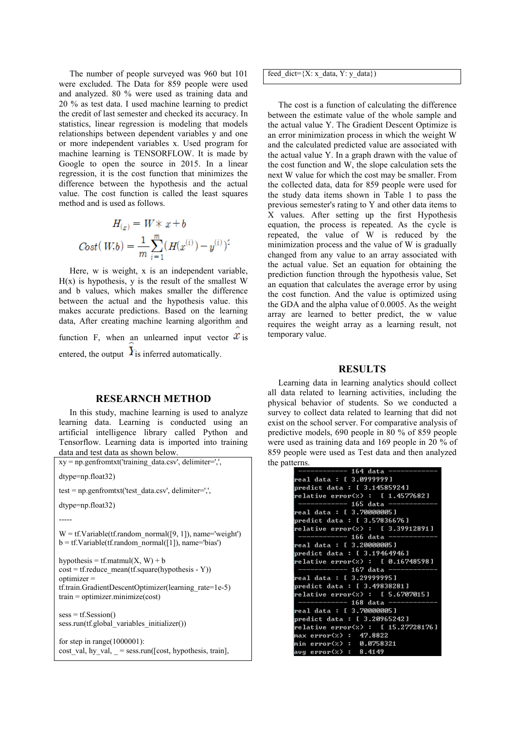The number of people surveyed was 960 but 101 were excluded. The Data for 859 people were used and analyzed. 80 % were used as training data and 20 % as test data. I used machine learning to predict the credit of last semester and checked its accuracy. In statistics, linear regression is modeling that models relationships between dependent variables y and one or more independent variables x. Used program for machine learning is TENSORFLOW. It is made by Google to open the source in 2015. In a linear regression, it is the cost function that minimizes the difference between the hypothesis and the actual value. The cost function is called the least squares method and is used as follows.

$$
H_{(x)} = W \times x + b
$$
  

$$
Cost(W, b) = \frac{1}{m} \sum_{i=1}^{m} (H(x^{(i)}) - y^{(i)})^2
$$

Here, w is weight, x is an independent variable,  $H(x)$  is hypothesis, y is the result of the smallest W and b values, which makes smaller the difference between the actual and the hypothesis value. this makes accurate predictions. Based on the learning data, After creating machine learning algorithm and function F, when an unlearned input vector  $\mathcal{X}$  is entered, the output  $Y_{\text{is inferred automatically}}$ .

## **RESEARNCH METHOD**

In this study, machine learning is used to analyze learning data. Learning is conducted using an artificial intelligence library called Python and Tensorflow. Learning data is imported into training data and test data as shown below.

| $xy = np$ genfromtxt('training data.csv', delimiter=',',                                                                                                                                                  |
|-----------------------------------------------------------------------------------------------------------------------------------------------------------------------------------------------------------|
| $dt$ ype=np.float32)                                                                                                                                                                                      |
| $test = np.getformatx('test data.csv', delimiter='',$                                                                                                                                                     |
| dtype=np.float32)                                                                                                                                                                                         |
|                                                                                                                                                                                                           |
| $W = tf.Variable(tf.random normal([9, 1]), name='weight')$<br>$b = tf.Variable(tf.random normal([1]), name='bias')$                                                                                       |
| hypothesis = tf.matmul(X, W) + b<br>$cost = tf. reduce mean(tf. square(hypothesis - Y))$<br>$optimize r =$<br>tf.train.GradientDescentOptimizer(learning rate=1e-5)<br>$train = optimizer.minimize(cost)$ |
| $sess = tf.Session()$<br>sess.run(tf.global variables initializer())                                                                                                                                      |
| for step in range $(1000001)$ :<br>cost val, hy val, $=$ sess.run([cost, hypothesis, train],                                                                                                              |

feed dict= ${X: x$  data, Y: y\_data})

The cost is a function of calculating the difference between the estimate value of the whole sample and the actual value Y. The Gradient Descent Optimize is an error minimization process in which the weight W and the calculated predicted value are associated with the actual value Y. In a graph drawn with the value of the cost function and W, the slope calculation sets the next W value for which the cost may be smaller. From the collected data, data for 859 people were used for the study data items shown in Table 1 to pass the previous semester's rating to Y and other data items to X values. After setting up the first Hypothesis equation, the process is repeated. As the cycle is repeated, the value of W is reduced by the minimization process and the value of W is gradually changed from any value to an array associated with the actual value. Set an equation for obtaining the prediction function through the hypothesis value, Set an equation that calculates the average error by using the cost function. And the value is optimized using the GDA and the alpha value of 0.0005. As the weight array are learned to better predict, the w value requires the weight array as a learning result, not temporary value.

## **RESULTS**

Learning data in learning analytics should collect all data related to learning activities, including the physical behavior of students. So we conducted a survey to collect data related to learning that did not exist on the school server. For comparative analysis of predictive models, 690 people in 80 % of 859 people were used as training data and 169 people in 20 % of 859 people were used as Test data and then analyzed the patterns.

| --------- 164 data -----           |
|------------------------------------|
| real data : [ 3.0999999]           |
| predict data : [ 3.14585924]       |
| relative error(%) : [1.4577682]    |
| ------------ 165 data ---------    |
| real data : [ 3.70000005]          |
| predict data : [ 3.57836676]       |
| relative error(%) : [ 3.39912891]  |
| ------------ 166 data -----        |
| real data : [ 3.20000005]          |
| predict data : [ 3.19464946]       |
| relative error(%) : [ 0.16748598]  |
| ------------ 167 data ----         |
| real data : [ 3.29999995]          |
| predict data : [ 3.49838281]       |
| relative error(%) : [ 5.6707015]   |
| ------------ 168 data --           |
| real data : [ 3.70000005]          |
| predict data : [ 3.20965242]       |
| relative error(%) : [ 15.27728176] |
| max error(%) : 47.8822             |
| $min$ error $(x)$ : 0.0758321      |
| avg error(%) : 8.4149              |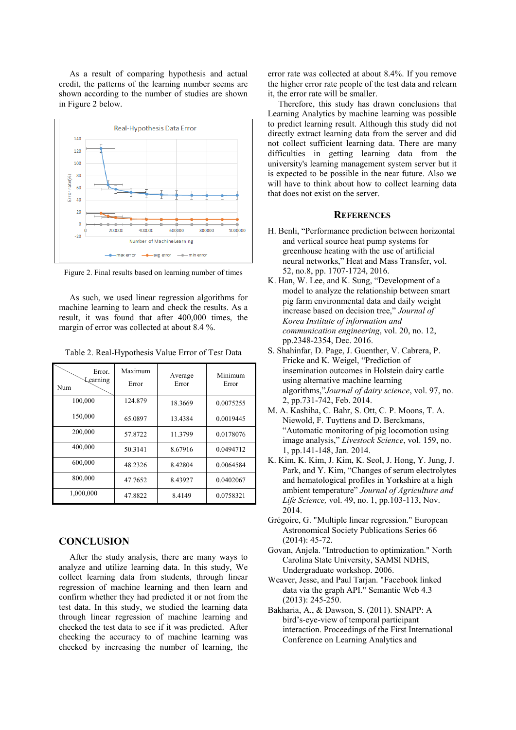As a result of comparing hypothesis and actual credit, the patterns of the learning number seems are shown according to the number of studies are shown in Figure 2 below.



Figure 2. Final results based on learning number of times

As such, we used linear regression algorithms for machine learning to learn and check the results. As a result, it was found that after 400,000 times, the margin of error was collected at about 8.4 %.

| Table 2. Real-Hypothesis Value Error of Test Data |  |  |  |
|---------------------------------------------------|--|--|--|
|---------------------------------------------------|--|--|--|

| Error.<br>Learning<br>Num | Maximum<br>Error | Average<br>Error | Minimum<br>Error |
|---------------------------|------------------|------------------|------------------|
| 100,000                   | 124.879          | 18.3669          | 0.0075255        |
| 150,000                   | 65.0897          | 13.4384          | 0.0019445        |
| 200,000                   | 57.8722          | 11.3799          | 0.0178076        |
| 400,000                   | 50.3141          | 8.67916          | 0.0494712        |
| 600,000                   | 48.2326          | 8.42804          | 0.0064584        |
| 800,000                   | 47.7652          | 8.43927          | 0.0402067        |
| 1,000,000                 | 47.8822          | 8.4149           | 0.0758321        |

# **CONCLUSION**

After the study analysis, there are many ways to analyze and utilize learning data. In this study, We collect learning data from students, through linear regression of machine learning and then learn and confirm whether they had predicted it or not from the test data. In this study, we studied the learning data through linear regression of machine learning and checked the test data to see if it was predicted. After checking the accuracy to of machine learning was checked by increasing the number of learning, the

error rate was collected at about 8.4%. If you remove the higher error rate people of the test data and relearn it, the error rate will be smaller.

Therefore, this study has drawn conclusions that Learning Analytics by machine learning was possible to predict learning result. Although this study did not directly extract learning data from the server and did not collect sufficient learning data. There are many difficulties in getting learning data from the university's learning management system server but it is expected to be possible in the near future. Also we will have to think about how to collect learning data that does not exist on the server.

#### **REFERENCES**

- H. Benli, "Performance prediction between horizontal and vertical source heat pump systems for greenhouse heating with the use of artificial neural networks," Heat and Mass Transfer, vol. 52, no.8, pp. 1707-1724, 2016.
- K. Han, W. Lee, and K. Sung, "Development of a model to analyze the relationship between smart pig farm environmental data and daily weight increase based on decision tree," *Journal of Korea Institute of information and communication engineering*, vol. 20, no. 12, pp.2348-2354, Dec. 2016.
- S. Shahinfar, D. Page, J. Guenther, V. Cabrera, P. Fricke and K. Weigel, "Prediction of insemination outcomes in Holstein dairy cattle using alternative machine learning algorithms,"*Journal of dairy science*, vol. 97, no. 2, pp.731-742, Feb. 2014.
- M. A. Kashiha, C. Bahr, S. Ott, C. P. Moons, T. A. Niewold, F. Tuyttens and D. Berckmans, "Automatic monitoring of pig locomotion using image analysis," *Livestock Science*, vol. 159, no. 1, pp.141-148, Jan. 2014.
- K. Kim, K. Kim, J. Kim, K. Seol, J. Hong, Y. Jung, J. Park, and Y. Kim, "Changes of serum electrolytes and hematological profiles in Yorkshire at a high ambient temperature" *Journal of Agriculture and Life Science,* vol. 49, no. 1, pp.103-113, Nov. 2014.
- Grégoire, G. "Multiple linear regression." European Astronomical Society Publications Series 66 (2014): 45-72.
- Govan, Anjela. "Introduction to optimization." North Carolina State University, SAMSI NDHS, Undergraduate workshop. 2006.
- Weaver, Jesse, and Paul Tarjan. "Facebook linked data via the graph API." Semantic Web 4.3 (2013): 245-250.
- Bakharia, A., & Dawson, S. (2011). SNAPP: A bird's-eye-view of temporal participant interaction. Proceedings of the First International Conference on Learning Analytics and